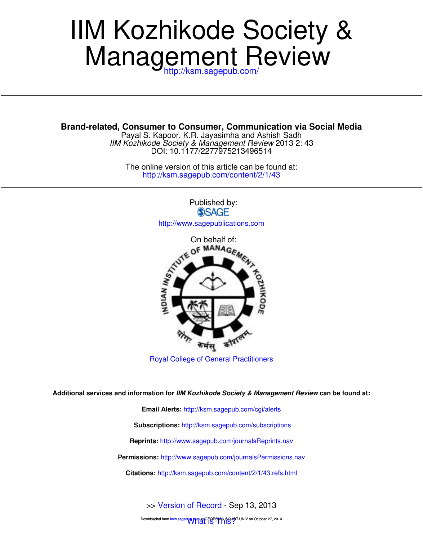# Management Review IIM Kozhikode Society &

**Brand-related, Consumer to Consumer, Communication via Social Media**

DOI: 10.1177/2277975213496514 IIM Kozhikode Society & Management Review 2013 2: 43 Payal S. Kapoor, K.R. Jayasimha and Ashish Sadh

http://ksm.sagepub.com/content/2/1/43 The online version of this article can be found at:

> Published by: **SSAGE** http://www.sagepublications.com On behalf of:<br>
> <sub>OF</sub> MANAGEME INDIAN INSTALL **THKOD** 6 कर्मस्

Royal College of General Practitioners

**Additional services and information for IIM Kozhikode Society & Management Review can be found at:**

**Email Alerts:** http://ksm.sagepub.com/cgi/alerts **Subscriptions:** http://ksm.sagepub.com/subscriptions **Reprints:** http://www.sagepub.com/journalsReprints.nav **Permissions:** http://www.sagepub.com/journalsPermissions.nav **Citations:** http://ksm.sagepub.com/content/2/1/43.refs.html

>> Version of Record - Sep 13, 2013

Downloaded from ksm.sagepub.com at GEORGIAN COURT UNIV on October 27, 2014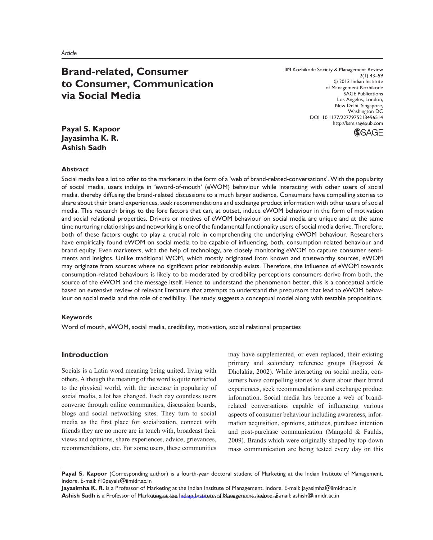# **Brand-related, Consumer to Consumer, Communication via Social Media**

IIM Kozhikode Society & Management Review 2(1) 43–59 © 2013 Indian Institute of Management Kozhikode SAGE Publications Los Angeles, London, New Delhi, Singapore, Washington DC DOI: 10.1177/2277975213496514 http://ksm.sagepub.com



# **Payal S. Kapoor Jayasimha K. R. Ashish Sadh**

## **Abstract**

Social media has a lot to offer to the marketers in the form of a 'web of brand-related-conversations'. With the popularity of social media, users indulge in 'eword-of-mouth' (eWOM) behaviour while interacting with other users of social media, thereby diffusing the brand-related discussions to a much larger audience. Consumers have compelling stories to share about their brand experiences, seek recommendations and exchange product information with other users of social media. This research brings to the fore factors that can, at outset, induce eWOM behaviour in the form of motivation and social relational properties. Drivers or motives of eWOM behaviour on social media are unique and at the same time nurturing relationships and networking is one of the fundamental functionality users of social media derive. Therefore, both of these factors ought to play a crucial role in comprehending the underlying eWOM behaviour. Researchers have empirically found eWOM on social media to be capable of influencing, both, consumption-related behaviour and brand equity. Even marketers, with the help of technology, are closely monitoring eWOM to capture consumer sentiments and insights. Unlike traditional WOM, which mostly originated from known and trustworthy sources, eWOM may originate from sources where no significant prior relationship exists. Therefore, the influence of eWOM towards consumption-related behaviours is likely to be moderated by credibility perceptions consumers derive from both, the source of the eWOM and the message itself. Hence to understand the phenomenon better, this is a conceptual article based on extensive review of relevant literature that attempts to understand the precursors that lead to eWOM behaviour on social media and the role of credibility. The study suggests a conceptual model along with testable propositions.

## **Keywords**

Word of mouth, eWOM, social media, credibility, motivation, social relational properties

# **Introduction**

Socials is a Latin word meaning being united, living with others. Although the meaning of the word is quite restricted to the physical world, with the increase in popularity of social media, a lot has changed. Each day countless users converse through online communities, discussion boards, blogs and social networking sites. They turn to social media as the first place for socialization, connect with friends they are no more are in touch with, broadcast their views and opinions, share experiences, advice, grievances, recommendations, etc. For some users, these communities

may have supplemented, or even replaced, their existing primary and secondary reference groups (Bagozzi & Dholakia, 2002). While interacting on social media, consumers have compelling stories to share about their brand experiences, seek recommendations and exchange product information. Social media has become a web of brandrelated conversations capable of influencing various aspects of consumer behaviour including awareness, information acquisition, opinions, attitudes, purchase intention and post-purchase communication (Mangold & Faulds, 2009). Brands which were originally shaped by top-down mass communication are being tested every day on this

Payal S. Kapoor (Corresponding author) is a fourth-year doctoral student of Marketing at the Indian Institute of Management, Indore. E-mail: f10payals@iimidr.ac.in

Jayasimha K. R. is a Professor of Marketing at the Indian Institute of Management, Indore. E-mail: jayasimha@iimidr.ac.in Ashish Sadh is a Professor of Mark<del>eting at the Indian Institute of Management, Indore. Anna</del>il: ashish@iimidr.ac.in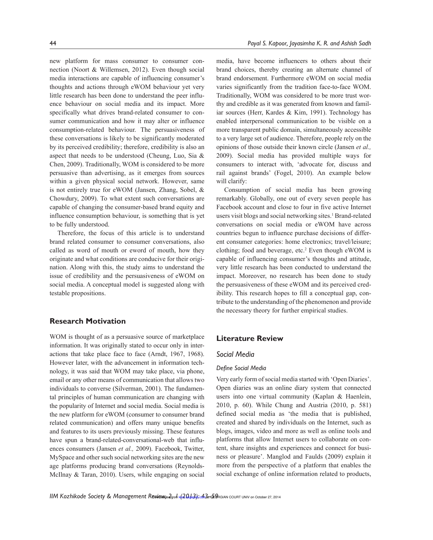new platform for mass consumer to consumer connection (Noort & Willemsen, 2012). Even though social media interactions are capable of influencing consumer's thoughts and actions through eWOM behaviour yet very little research has been done to understand the peer influence behaviour on social media and its impact. More specifically what drives brand-related consumer to consumer communication and how it may alter or influence consumption-related behaviour. The persuasiveness of these conversations is likely to be significantly moderated by its perceived credibility; therefore, credibility is also an aspect that needs to be understood (Cheung, Luo, Sia & Chen, 2009). Traditionally, WOM is considered to be more persuasive than advertising, as it emerges from sources within a given physical social network. However, same is not entirely true for eWOM (Jansen, Zhang, Sobel, & Chowdury, 2009). To what extent such conversations are capable of changing the consumer-based brand equity and influence consumption behaviour, is something that is yet to be fully understood.

Therefore, the focus of this article is to understand brand related consumer to consumer conversations, also called as word of mouth or eword of mouth, how they originate and what conditions are conducive for their origination. Along with this, the study aims to understand the issue of credibility and the persuasiveness of eWOM on social media. A conceptual model is suggested along with testable propositions.

# **Research Motivation**

WOM is thought of as a persuasive source of marketplace information. It was originally stated to occur only in interactions that take place face to face (Arndt, 1967, 1968). However later, with the advancement in information technology, it was said that WOM may take place, via phone, email or any other means of communication that allows two individuals to converse (Silverman, 2001). The fundamental principles of human communication are changing with the popularity of Internet and social media. Social media is the new platform for eWOM (consumer to consumer brand related communication) and offers many unique benefits and features to its users previously missing. These features have spun a brand-related-conversational-web that influences consumers (Jansen *et al.,* 2009). Facebook, Twitter, MySpace and other such social networking sites are the new age platforms producing brand conversations (Reynolds-McIlnay & Taran, 2010). Users, while engaging on social media, have become influencers to others about their brand choices, thereby creating an alternate channel of brand endorsement. Furthermore eWOM on social media varies significantly from the tradition face-to-face WOM. Traditionally, WOM was considered to be more trust worthy and credible as it was generated from known and familiar sources (Herr, Kardes & Kim, 1991). Technology has enabled interpersonal communication to be visible on a more transparent public domain, simultaneously accessible to a very large set of audience. Therefore, people rely on the opinions of those outside their known circle (Jansen *et al.,*  2009). Social media has provided multiple ways for consumers to interact with, 'advocate for, discuss and rail against brands' (Fogel, 2010). An example below will clarify:

Consumption of social media has been growing remarkably. Globally, one out of every seven people has Facebook account and close to four in five active Internet users visit blogs and social networking sites.<sup>1</sup> Brand-related conversations on social media or eWOM have across countries begun to influence purchase decisions of different consumer categories: home electronics; travel/leisure; clothing; food and beverage, etc. $2$  Even though eWOM is capable of influencing consumer's thoughts and attitude, very little research has been conducted to understand the impact. Moreover, no research has been done to study the persuasiveness of these eWOM and its perceived credibility. This research hopes to fill a conceptual gap, contribute to the understanding of the phenomenon and provide the necessary theory for further empirical studies.

## **Literature Review**

### *Social Media*

#### *Define Social Media*

Very early form of social media started with 'Open Diaries'. Open diaries was an online diary system that connected users into one virtual community (Kaplan & Haenlein, 2010, p. 60). While Chung and Austria (2010, p. 581) defined social media as 'the media that is published, created and shared by individuals on the Internet, such as blogs, images, video and more as well as online tools and platforms that allow Internet users to collaborate on content, share insights and experiences and connect for business or pleasure'. Manglod and Faulds (2009) explain it more from the perspective of a platform that enables the social exchange of online information related to products,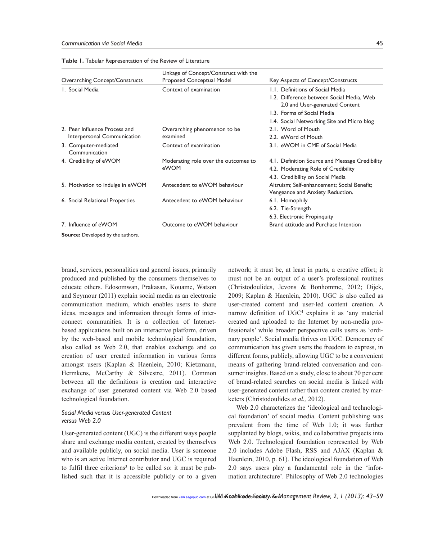| <b>Overarching Concept/Constructs</b>                        | Linkage of Concept/Construct with the<br>Proposed Conceptual Model | Key Aspects of Concept/Constructs                                                                                                                                                           |
|--------------------------------------------------------------|--------------------------------------------------------------------|---------------------------------------------------------------------------------------------------------------------------------------------------------------------------------------------|
| L. Social Media                                              | Context of examination                                             | L.L. Definitions of Social Media<br>1.2. Difference between Social Media, Web<br>2.0 and User-generated Content<br>1.3. Forms of Social Media<br>1.4. Social Networking Site and Micro blog |
| 2. Peer Influence Process and<br>Interpersonal Communication | Overarching phenomenon to be<br>examined                           | 2.1. Word of Mouth<br>2.2. eWord of Mouth                                                                                                                                                   |
| 3. Computer-mediated<br>Communication                        | Context of examination                                             | 3.1. eWOM in CME of Social Media                                                                                                                                                            |
| 4. Credibility of eWOM                                       | Moderating role over the outcomes to<br>eWOM                       | 4.1. Definition Source and Message Credibility<br>4.2. Moderating Role of Credibility<br>4.3. Credibility on Social Media                                                                   |
| 5. Motivation to indulge in eWOM                             | Antecedent to eWOM behaviour                                       | Altruism; Self-enhancement; Social Benefit;<br>Vengeance and Anxiety Reduction.                                                                                                             |
| 6. Social Relational Properties                              | Antecedent to eWOM behaviour                                       | 6.1. Homophily<br>6.2. Tie-Strength<br>6.3. Electronic Propinquity                                                                                                                          |
| 7. Influence of eWOM                                         | Outcome to eWOM behaviour                                          | Brand attitude and Purchase Intention                                                                                                                                                       |

**Table 1.** Tabular Representation of the Review of Literature

**Source:** Developed by the authors.

brand, services, personalities and general issues, primarily produced and published by the consumers themselves to educate others. Edosomwan, Prakasan, Kouame, Watson and Seymour (2011) explain social media as an electronic communication medium, which enables users to share ideas, messages and information through forms of interconnect communities. It is a collection of Internetbased applications built on an interactive platform, driven by the web-based and mobile technological foundation, also called as Web 2.0, that enables exchange and co creation of user created information in various forms amongst users (Kaplan & Haenlein, 2010; Kietzmann, Hermkens, McCarthy & Silvestre, 2011). Common between all the definitions is creation and interactive exchange of user generated content via Web 2.0 based technological foundation.

## *Social Media versus User-generated Content versus Web 2.0*

User-generated content (UGC) is the different ways people share and exchange media content, created by themselves and available publicly, on social media. User is someone who is an active Internet contributor and UGC is required to fulfil three criterions<sup>3</sup> to be called so: it must be published such that it is accessible publicly or to a given

network; it must be, at least in parts, a creative effort; it must not be an output of a user's professional routines (Christodoulides, Jevons & Bonhomme, 2012; Dijck, 2009; Kaplan & Haenlein, 2010). UGC is also called as user-created content and user-led content creation. A narrow definition of UGC<sup>4</sup> explains it as 'any material created and uploaded to the Internet by non-media professionals' while broader perspective calls users as 'ordinary people'. Social media thrives on UGC. Democracy of communication has given users the freedom to express, in different forms, publicly, allowing UGC to be a convenient means of gathering brand-related conversation and consumer insights. Based on a study, close to about 70 per cent of brand-related searches on social media is linked with user-generated content rather than content created by marketers (Christodoulides *et al.,* 2012).

Web 2.0 characterizes the 'ideological and technological foundation' of social media. Content publishing was prevalent from the time of Web 1.0; it was further supplanted by blogs, wikis, and collaborative projects into Web 2.0. Technological foundation represented by Web 2.0 includes Adobe Flash, RSS and AJAX (Kaplan & Haenlein, 2010, p. 61). The ideological foundation of Web 2.0 says users play a fundamental role in the 'information architecture'. Philosophy of Web 2.0 technologies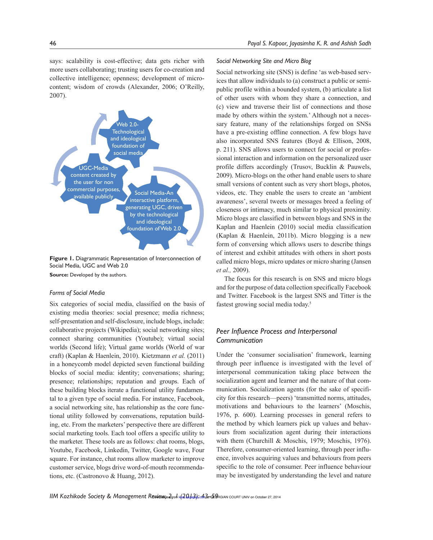says: scalability is cost-effective; data gets richer with more users collaborating; trusting users for co-creation and collective intelligence; openness; development of microcontent; wisdom of crowds (Alexander, 2006; O'Reilly, 2007).



**Figure 1.** Diagrammatic Representation of Interconnection of Social Media, UGC and Web 2.0

**Source:** Developed by the authors.

#### *Forms of Social Media*

Six categories of social media, classified on the basis of existing media theories: social presence; media richness; self-presentation and self-disclosure, include blogs, include: collaborative projects (Wikipedia); social networking sites; connect sharing communities (Youtube); virtual social worlds (Second life); Virtual game worlds (World of war craft) (Kaplan & Haenlein, 2010). Kietzmann *et al.* (2011) in a honeycomb model depicted seven functional building blocks of social media: identity; conversations; sharing; presence; relationships; reputation and groups. Each of these building blocks iterate a functional utility fundamental to a given type of social media. For instance, Facebook, a social networking site, has relationship as the core functional utility followed by conversations, reputation building, etc. From the marketers' perspective there are different social marketing tools. Each tool offers a specific utility to the marketer. These tools are as follows: chat rooms, blogs, Youtube, Facebook, Linkedin, Twitter, Google wave, Four square. For instance, chat rooms allow marketer to improve customer service, blogs drive word-of-mouth recommendations, etc. (Castronovo & Huang, 2012).

#### *Social Networking Site and Micro Blog*

Social networking site (SNS) is define 'as web-based services that allow individuals to (a) construct a public or semipublic profile within a bounded system, (b) articulate a list of other users with whom they share a connection, and (c) view and traverse their list of connections and those made by others within the system.' Although not a necessary feature, many of the relationships forged on SNSs have a pre-existing offline connection. A few blogs have also incorporated SNS features (Boyd & Ellison, 2008, p. 211). SNS allows users to connect for social or professional interaction and information on the personalized user profile differs accordingly (Trusov, Bucklin & Pauwels, 2009). Micro-blogs on the other hand enable users to share small versions of content such as very short blogs, photos, videos, etc. They enable the users to create an 'ambient awareness', several tweets or messages breed a feeling of closeness or intimacy, much similar to physical proximity. Micro blogs are classified in between blogs and SNS in the Kaplan and Haenlein (2010) social media classification (Kaplan & Haenlein, 2011b). Micro blogging is a new form of conversing which allows users to describe things of interest and exhibit attitudes with others in short posts called micro blogs, micro updates or micro sharing (Jansen *et al.,* 2009).

The focus for this research is on SNS and micro blogs and for the purpose of data collection specifically Facebook and Twitter. Facebook is the largest SNS and Titter is the fastest growing social media today.<sup>5</sup>

# *Peer Influence Process and Interpersonal Communication*

Under the 'consumer socialisation' framework, learning through peer influence is investigated with the level of interpersonal communication taking place between the socialization agent and learner and the nature of that communication. Socialization agents (for the sake of specificity for this research—peers) 'transmitted norms, attitudes, motivations and behaviours to the learners' (Moschis, 1976, p. 600). Learning processes in general refers to the method by which learners pick up values and behaviours from socialization agent during their interactions with them (Churchill & Moschis, 1979; Moschis, 1976). Therefore, consumer-oriented learning, through peer influence, involves acquiring values and behaviours from peers specific to the role of consumer. Peer influence behaviour may be investigated by understanding the level and nature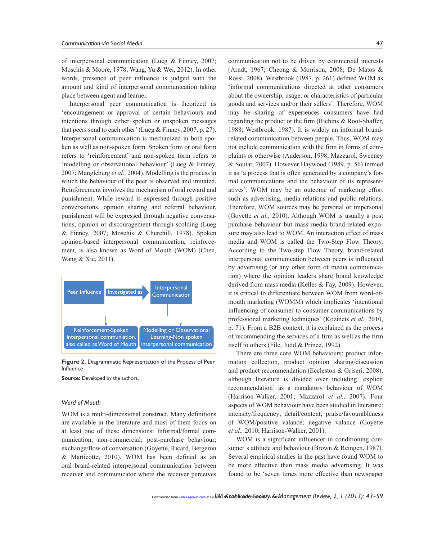of interpersonal communication (Lueg & Finney, 2007; Moschis & Moore, 1978; Wang, Yu & Wei, 2012). In other words, presence of peer influence is judged with the amount and kind of interpersonal communication taking place between agent and learner.

Interpersonal peer communication is theorized as 'encouragement or approval of certain behaviours and intentions through either spoken or unspoken messages that peers send to each other' (Lueg & Finney, 2007, p. 27). Interpersonal communication is mechanized in both spoken as well as non-spoken form. Spoken form or oral form refers to 'reinforcement' and non-spoken form refers to 'modelling or observational behaviour' (Lueg & Finney, 2007; Mangleburg *et al.,* 2004). Modelling is the process in which the behaviour of the peer is observed and imitated. Reinforcement involves the mechanism of oral reward and punishment. While reward is expressed through positive conversations, opinion sharing and referral behaviour, punishment will be expressed through negative conversations, opinion or discouragement through scolding (Lueg & Finney, 2007; Moschis & Churchill, 1978). Spoken opinion-based interpersonal communication, reinforcement, is also known as Word of Mouth (WOM) (Chen, Wang & Xie, 2011).



**Figure 2.** Diagrammatic Representation of the Process of Peer Influence

**Source:** Developed by the authors.

#### *Word of Mouth*

WOM is a multi-dimensional construct. Many definitions are available in the literature and most of them focus on at least one of these dimensions: Informal/formal communication; non-commercial; post-purchase behaviour; exchange/flow of conversation (Goyette, Ricard, Bergeron & Marticotte, 2010). WOM has been defined as an oral brand-related interpersonal communication between receiver and communicator where the receiver perceives communication not to be driven by commercial interests (Arndt, 1967; Cheong & Morrison, 2008; De Matos & Rossi, 2008). Westbrook (1987, p. 261) defined WOM as 'informal communications directed at other consumers about the ownership, usage, or characteristics of particular goods and services and/or their sellers'. Therefore, WOM may be sharing of experiences consumers have had regarding the product or the firm (Richins & Root-Shaffer, 1988; Westbrook, 1987). It is widely an informal brandrelated communication between people. Thus, WOM may not include communication with the firm in forms of complaints or otherwise (Anderson, 1998; Mazzarol, Sweeney & Soutar, 2007). However Haywood (1989, p. 56) termed it as 'a process that is often generated by a company's formal communications and the behaviour of its representatives'. WOM may be an outcome of marketing effort such as advertising, media relations and public relations. Therefore, WOM sources may be personal or impersonal (Goyette *et al.,* 2010). Although WOM is usually a post purchase behaviour but mass media brand-related exposure may also lead to WOM. An interaction effect of mass media and WOM is called the Two-Step Flow Theory. According to the Two-step Flow Theory, brand-related interpersonal communication between peers is influenced by advertising (or any other form of media communication) where the opinion leaders share brand knowledge derived from mass media (Keller & Fay, 2009). However, it is critical to differentiate between WOM from word-ofmouth marketing (WOMM) which implicates 'intentional influencing of consumer-to-consumer communications by professional marketing techniques' (Kozinets *et al.,* 2010, p. 71). From a B2B context, it is explained as the process of recommending the services of a firm as well as the firm itself to others (File, Judd & Prince, 1992).

There are three core WOM behaviours: product information collection, product opinion sharing/discussion and product recommendation (Eccleston & Griseri, 2008), although literature is divided over including 'explicit recommendation' as a mandatory behaviour of WOM (Harrison-Walker, 2001; Mazzarol *et al.,* 2007). Four aspects of WOM behaviour have been studied in literature: intensity/frequency; detail/content; praise/favourableness of WOM/positive valance; negative valance (Goyette *et al.,* 2010; Harrison-Walker, 2001).

WOM is a significant influencer in conditioning consumer's attitude and behaviour (Brown & Reingen, 1987). Several empirical studies in the past have found WOM to be more effective than mass media advertising. It was found to be 'seven times more effective than newspaper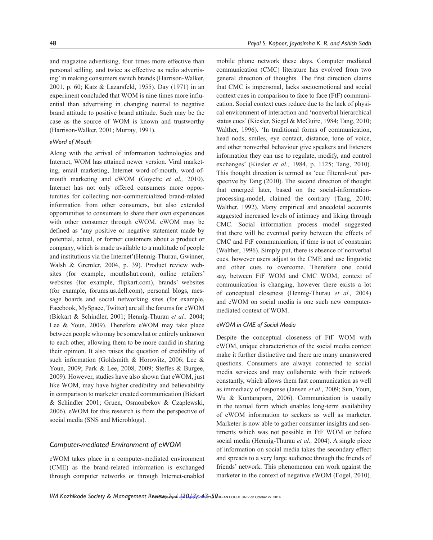and magazine advertising, four times more effective than personal selling, and twice as effective as radio advertising' in making consumers switch brands (Harrison-Walker, 2001, p. 60; Katz & Lazarsfeld, 1955). Day (1971) in an experiment concluded that WOM is nine times more influential than advertising in changing neutral to negative brand attitude to positive brand attitude. Such may be the case as the source of WOM is known and trustworthy (Harrison-Walker, 2001; Murray, 1991).

#### *eWord of Mouth*

Along with the arrival of information technologies and Internet, WOM has attained newer version. Viral marketing, email marketing, Internet word-of-mouth, word-ofmouth marketing and eWOM (Goyette *et al.,* 2010). Internet has not only offered consumers more opportunities for collecting non-commercialized brand-related information from other consumers, but also extended opportunities to consumers to share their own experiences with other consumer through eWOM. eWOM may be defined as 'any positive or negative statement made by potential, actual, or former customers about a product or company, which is made available to a multitude of people and institutions via the Internet'(Hennig-Thurau, Gwinner, Walsh & Gremler, 2004, p. 39). Product review websites (for example, mouthshut.com), online retailers' websites (for example, flipkart.com), brands' websites (for example, forums.us.dell.com), personal blogs, message boards and social networking sites (for example, Facebook, MySpace, Twitter) are all the forums for eWOM (Bickart & Schindler, 2001; Hennig-Thurau *et al.,* 2004; Lee & Youn, 2009). Therefore eWOM may take place between people who may be somewhat or entirely unknown to each other, allowing them to be more candid in sharing their opinion. It also raises the question of credibility of such information (Goldsmith & Horowitz, 2006; Lee & Youn, 2009; Park & Lee, 2008, 2009; Steffes & Burgee, 2009). However, studies have also shown that eWOM, just like WOM, may have higher credibility and believability in comparison to marketer created communication (Bickart & Schindler 2001; Gruen, Osmonbekov & Czaplewski, 2006). eWOM for this research is from the perspective of social media (SNS and Microblogs).

## *Computer-mediated Environment of eWOM*

eWOM takes place in a computer-mediated environment (CME) as the brand-related information is exchanged through computer networks or through Internet-enabled mobile phone network these days. Computer mediated communication (CMC) literature has evolved from two general direction of thoughts. The first direction claims that CMC is impersonal, lacks socioemotional and social context cues in comparison to face to face (FtF) communication. Social context cues reduce due to the lack of physical environment of interaction and 'nonverbal hierarchical status cues' (Kiesler, Siegel & McGuire, 1984; Tang, 2010; Walther, 1996). 'In traditional forms of communication, head nods, smiles, eye contact, distance, tone of voice, and other nonverbal behaviour give speakers and listeners information they can use to regulate, modify, and control exchanges' (Kiesler *et al.,* 1984, p. 1125; Tang, 2010). This thought direction is termed as 'cue filtered-out' perspective by Tang (2010). The second direction of thought that emerged later, based on the social-informationprocessing-model, claimed the contrary (Tang, 2010; Walther, 1992). Many empirical and anecdotal accounts suggested increased levels of intimacy and liking through CMC. Social information process model suggested that there will be eventual parity between the effects of CMC and FtF communication, if time is not of constraint (Walther, 1996). Simply put, there is absence of nonverbal cues, however users adjust to the CME and use linguistic and other cues to overcome. Therefore one could say, between FtF WOM and CMC WOM, context of communication is changing, however there exists a lot of conceptual closeness (Hennig-Thurau *et al.,* 2004) and eWOM on social media is one such new computermediated context of WOM.

#### *eWOM in CME of Social Media*

Despite the conceptual closeness of FtF WOM with eWOM, unique characteristics of the social media context make it further distinctive and there are many unanswered questions. Consumers are always connected to social media services and may collaborate with their network constantly, which allows them fast communication as well as immediacy of response (Jansen *et al.,* 2009; Sun, Youn, Wu & Kuntaraporn, 2006). Communication is usually in the textual form which enables long-term availability of eWOM information to seekers as well as marketer. Marketer is now able to gather consumer insights and sentiments which was not possible in FtF WOM or before social media (Hennig-Thurau *et al.,* 2004). A single piece of information on social media takes the secondary effect and spreads to a very large audience through the friends of friends' network. This phenomenon can work against the marketer in the context of negative eWOM (Fogel, 2010).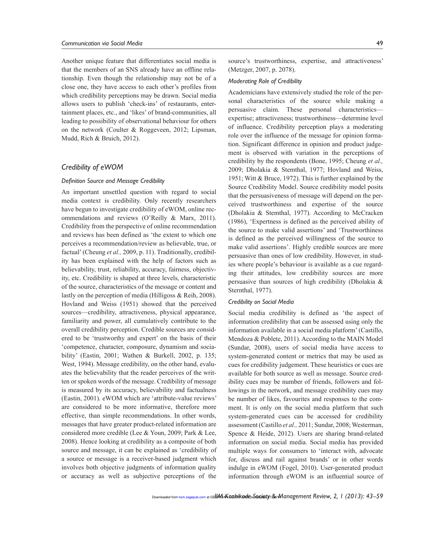Another unique feature that differentiates social media is that the members of an SNS already have an offline relationship. Even though the relationship may not be of a close one, they have access to each other's profiles from which credibility perceptions may be drawn. Social media allows users to publish 'check-ins' of restaurants, entertainment places, etc., and 'likes' of brand-communities, all leading to possibility of observational behaviour for others on the network (Coulter & Roggeveen, 2012; Lipsman, Mudd, Rich & Bruich, 2012).

#### *Credibility of eWOM*

#### *Definition Source and Message Credibility*

An important unsettled question with regard to social media context is credibility. Only recently researchers have begun to investigate credibility of eWOM, online recommendations and reviews (O'Reilly & Marx, 2011). Credibility from the perspective of online recommendation and reviews has been defined as 'the extent to which one perceives a recommendation/review as believable, true, or factual' (Cheung *et al.,* 2009, p. 11). Traditionally, credibility has been explained with the help of factors such as believability, trust, reliability, accuracy, fairness, objectivity, etc. Credibility is shaped at three levels, characteristic of the source, characteristics of the message or content and lastly on the perception of media (Hilligoss & Reih, 2008). Hovland and Weiss (1951) showed that the perceived sources—credibility, attractiveness, physical appearance, familiarity and power, all cumulatively contribute to the overall credibility perception. Credible sources are considered to be 'trustworthy and expert' on the basis of their 'competence, character, composure, dynamism and sociability' (Eastin, 2001; Wathen & Burkell, 2002, p. 135; West, 1994). Message credibility, on the other hand, evaluates the believability that the reader perceives of the written or spoken words of the message. Credibility of message is measured by its accuracy, believability and factualness (Eastin, 2001). eWOM which are 'attribute-value reviews' are considered to be more informative, therefore more effective, than simple recommendations. In other words, messages that have greater product-related information are considered more credible (Lee & Youn, 2009; Park & Lee, 2008). Hence looking at credibility as a composite of both source and message, it can be explained as 'credibility of a source or message is a receiver-based judgment which involves both objective judgments of information quality or accuracy as well as subjective perceptions of the

source's trustworthiness, expertise, and attractiveness' (Metzger, 2007, p. 2078).

#### *Moderating Role of Credibility*

Academicians have extensively studied the role of the personal characteristics of the source while making a persuasive claim. These personal characteristics expertise; attractiveness; trustworthiness—determine level of influence. Credibility perception plays a moderating role over the influence of the message for opinion formation. Significant difference in opinion and product judgement is observed with variation in the perceptions of credibility by the respondents (Bone, 1995; Cheung *et al.,* 2009; Dholakia & Stemthal, 1977; Hovland and Weiss, 1951; Witt & Bruce, 1972). This is further explained by the Source Credibility Model. Source credibility model posits that the persuasiveness of message will depend on the perceived trustworthiness and expertise of the source (Dholakia & Stemthal, 1977). According to McCracken (1986), 'Expertness is defined as the perceived ability of the source to make valid assertions' and 'Trustworthiness is defined as the perceived willingness of the source to make valid assertions'. Highly credible sources are more persuasive than ones of low credibility. However, in studies where people's behaviour is available as a cue regarding their attitudes, low credibility sources are more persuasive than sources of high credibility (Dholakia & Sternthal, 1977).

#### *Credibility on Social Media*

Social media credibility is defined as 'the aspect of information credibility that can be assessed using only the information available in a social media platform' (Castillo, Mendoza & Poblete, 2011). According to the MAIN Model (Sundar, 2008), users of social media have access to system-generated content or metrics that may be used as cues for credibility judgement. These heuristics or cues are available for both source as well as message. Source credibility cues may be number of friends, followers and followings in the network, and message credibility cues may be number of likes, favourites and responses to the comment. It is only on the social media platform that such system-generated cues can be accessed for credibility assessment (Castillo *et al.,* 2011; Sundar, 2008; Westerman, Spence & Heide, 2012). Users are sharing brand-related information on social media. Social media has provided multiple ways for consumers to 'interact with, advocate for, discuss and rail against brands' or in other words indulge in eWOM (Fogel, 2010). User-generated product information through eWOM is an influential source of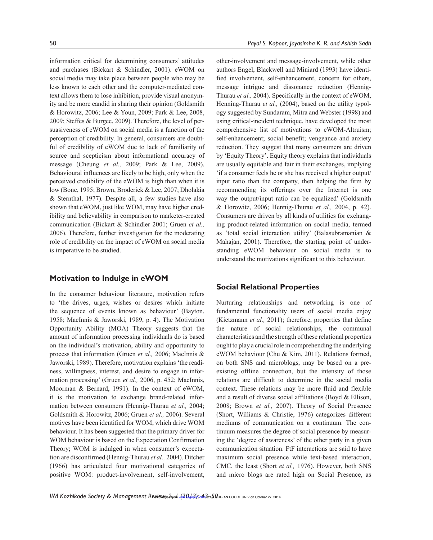information critical for determining consumers' attitudes and purchases (Bickart & Schindler, 2001). eWOM on social media may take place between people who may be less known to each other and the computer-mediated context allows them to lose inhibition, provide visual anonymity and be more candid in sharing their opinion (Goldsmith & Horowitz, 2006; Lee & Youn, 2009; Park & Lee, 2008, 2009; Steffes & Burgee, 2009). Therefore, the level of persuasiveness of eWOM on social media is a function of the perception of credibility. In general, consumers are doubtful of credibility of eWOM due to lack of familiarity of source and scepticism about informational accuracy of message (Cheung *et al.,* 2009; Park & Lee, 2009). Behavioural influences are likely to be high, only when the perceived credibility of the eWOM is high than when it is low (Bone, 1995; Brown, Broderick & Lee, 2007; Dholakia & Sternthal, 1977). Despite all, a few studies have also shown that eWOM, just like WOM, may have higher credibility and believability in comparison to marketer-created communication (Bickart & Schindler 2001; Gruen *et al.,* 2006). Therefore, further investigation for the moderating role of credibility on the impact of eWOM on social media is imperative to be studied.

# **Motivation to Indulge in eWOM**

In the consumer behaviour literature, motivation refers to 'the drives, urges, wishes or desires which initiate the sequence of events known as behaviour' (Bayton, 1958; MacInnis & Jaworski, 1989, p. 4). The Motivation Opportunity Ability (MOA) Theory suggests that the amount of information processing individuals do is based on the individual's motivation, ability and opportunity to process that information (Gruen *et al.,* 2006; MacInnis & Jaworski, 1989). Therefore, motivation explains 'the readiness, willingness, interest, and desire to engage in information processing' (Gruen *et al.,* 2006, p. 452; MacInnis, Moorman & Bernard, 1991). In the context of eWOM, it is the motivation to exchange brand-related information between consumers (Hennig-Thurau *et al.,* 2004; Goldsmith & Horowitz, 2006; Gruen *et al.,* 2006). Several motives have been identified for WOM, which drive WOM behaviour. It has been suggested that the primary driver for WOM behaviour is based on the Expectation Confirmation Theory; WOM is indulged in when consumer's expectation are disconfirmed (Hennig-Thurau *et al.,* 2004). Ditcher (1966) has articulated four motivational categories of positive WOM: product-involvement, self-involvement,

other-involvement and message-involvement, while other authors Engel, Blackwell and Miniard (1993) have identified involvement, self-enhancement, concern for others, message intrigue and dissonance reduction (Hennig-Thurau *et al.,* 2004). Specifically in the context of eWOM, Henning-Thurau *et al.,* (2004), based on the utility typology suggested by Sundaram, Mitra and Webster (1998) and using critical-incident technique, have developed the most comprehensive list of motivations to eWOM-Altruism; self-enhancement; social benefit; vengeance and anxiety reduction. They suggest that many consumers are driven by 'Equity Theory'. Equity theory explains that individuals are usually equitable and fair in their exchanges, implying 'if a consumer feels he or she has received a higher output/ input ratio than the company, then helping the firm by recommending its offerings over the Internet is one way the output/input ratio can be equalized' (Goldsmith & Horowitz, 2006; Hennig-Thurau *et al.,* 2004, p. 42). Consumers are driven by all kinds of utilities for exchanging product-related information on social media, termed as 'total social interaction utility' (Balasubramanian & Mahajan, 2001). Therefore, the starting point of understanding eWOM behaviour on social media is to understand the motivations significant to this behaviour.

# **Social Relational Properties**

Nurturing relationships and networking is one of fundamental functionality users of social media enjoy (Kietzmann *et al.,* 2011); therefore, properties that define the nature of social relationships, the communal characteristics and the strength of these relational properties ought to play a crucial role in comprehending the underlying eWOM behaviour (Chu & Kim, 2011). Relations formed, on both SNS and microblogs, may be based on a preexisting offline connection, but the intensity of those relations are difficult to determine in the social media context. These relations may be more fluid and flexible and a result of diverse social affiliations (Boyd & Ellison, 2008; Brown *et al.,* 2007). Theory of Social Presence (Short, Williams & Christie, 1976) categorizes different mediums of communication on a continuum. The continuum measures the degree of social presence by measuring the 'degree of awareness' of the other party in a given communication situation. FtF interactions are said to have maximum social presence while text-based interaction, CMC, the least (Short *et al.,* 1976). However, both SNS and micro blogs are rated high on Social Presence, as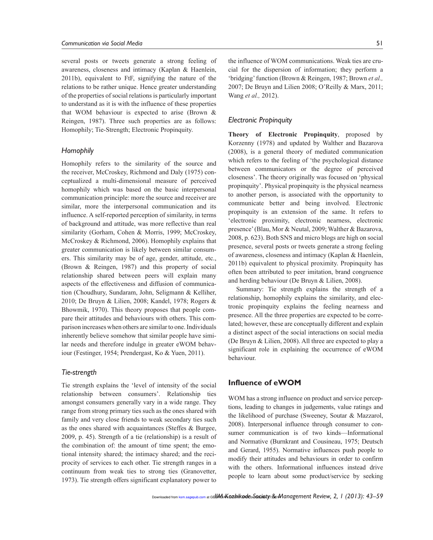several posts or tweets generate a strong feeling of awareness, closeness and intimacy (Kaplan & Haenlein, 2011b), equivalent to FtF, signifying the nature of the relations to be rather unique. Hence greater understanding of the properties of social relations is particularly important to understand as it is with the influence of these properties that WOM behaviour is expected to arise (Brown & Reingen, 1987). Three such properties are as follows: Homophily; Tie-Strength; Electronic Propinquity.

## *Homophily*

Homophily refers to the similarity of the source and the receiver, McCroskey, Richmond and Daly (1975) conceptualized a multi-dimensional measure of perceived homophily which was based on the basic interpersonal communication principle: more the source and receiver are similar, more the interpersonal communication and its influence. A self-reported perception of similarity, in terms of background and attitude, was more reflective than real similarity (Gorham, Cohen & Morris, 1999; McCroskey, McCroskey & Richmond, 2006). Homophily explains that greater communication is likely between similar consumers. This similarity may be of age, gender, attitude, etc., (Brown & Reingen, 1987) and this property of social relationship shared between peers will explain many aspects of the effectiveness and diffusion of communication (Choudhury, Sundaram, John, Seligmann & Kelliher, 2010; De Bruyn & Lilien, 2008; Kandel, 1978; Rogers & Bhowmik, 1970). This theory proposes that people compare their attitudes and behaviours with others. This comparison increases when others are similar to one. Individuals inherently believe somehow that similar people have similar needs and therefore indulge in greater eWOM behaviour (Festinger, 1954; Prendergast, Ko & Yuen, 2011).

# *Tie-strength*

Tie strength explains the 'level of intensity of the social relationship between consumers'. Relationship ties amongst consumers generally vary in a wide range. They range from strong primary ties such as the ones shared with family and very close friends to weak secondary ties such as the ones shared with acquaintances (Steffes & Burgee, 2009, p. 45). Strength of a tie (relationship) is a result of the combination of: the amount of time spent; the emotional intensity shared; the intimacy shared; and the reciprocity of services to each other. Tie strength ranges in a continuum from weak ties to strong ties (Granovetter, 1973). Tie strength offers significant explanatory power to

the influence of WOM communications. Weak ties are crucial for the dispersion of information; they perform a 'bridging' function (Brown & Reingen, 1987; Brown *et al.,* 2007; De Bruyn and Lilien 2008; O'Reilly & Marx, 2011; Wang *et al.,* 2012).

# *Electronic Propinquity*

**Theory of Electronic Propinquity**, proposed by Korzenny (1978) and updated by Walther and Bazarova (2008), is a general theory of mediated communication which refers to the feeling of 'the psychological distance between communicators or the degree of perceived closeness'. The theory originally was focused on 'physical propinquity'. Physical propinquity is the physical nearness to another person, is associated with the opportunity to communicate better and being involved. Electronic propinquity is an extension of the same. It refers to 'electronic proximity, electronic nearness, electronic presence' (Blau, Mor & Neutal, 2009; Walther & Bazarova, 2008, p. 623). Both SNS and micro blogs are high on social presence, several posts or tweets generate a strong feeling of awareness, closeness and intimacy (Kaplan & Haenlein, 2011b) equivalent to physical proximity. Propinquity has often been attributed to peer imitation, brand congruence and herding behaviour (De Bruyn & Lilien, 2008).

Summary: Tie strength explains the strength of a relationship, homophily explains the similarity, and electronic propinquity explains the feeling nearness and presence. All the three properties are expected to be correlated; however, these are conceptually different and explain a distinct aspect of the social interactions on social media (De Bruyn & Lilien, 2008). All three are expected to play a significant role in explaining the occurrence of eWOM behaviour.

# **Influence of eWOM**

WOM has a strong influence on product and service perceptions, leading to changes in judgements, value ratings and the likelihood of purchase (Sweeney, Soutar & Mazzarol, 2008). Interpersonal influence through consumer to consumer communication is of two kinds—Informational and Normative (Burnkrant and Cousineau, 1975; Deutsch and Gerard, 1955). Normative influences push people to modify their attitudes and behaviours in order to confirm with the others. Informational influences instead drive people to learn about some product/service by seeking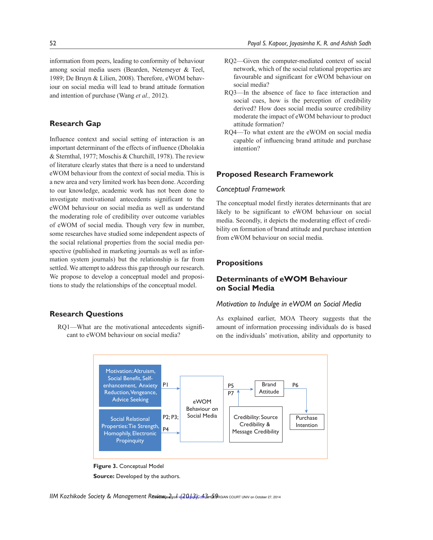# **Research Gap**

Influence context and social setting of interaction is an important determinant of the effects of influence (Dholakia & Sternthal, 1977; Moschis & Churchill, 1978). The review of literature clearly states that there is a need to understand eWOM behaviour from the context of social media. This is a new area and very limited work has been done. According to our knowledge, academic work has not been done to investigate motivational antecedents significant to the eWOM behaviour on social media as well as understand the moderating role of credibility over outcome variables of eWOM of social media. Though very few in number, some researches have studied some independent aspects of the social relational properties from the social media perspective (published in marketing journals as well as information system journals) but the relationship is far from settled. We attempt to address this gap through our research. We propose to develop a conceptual model and propositions to study the relationships of the conceptual model.

# **Research Questions**

RQ1—What are the motivational antecedents significant to eWOM behaviour on social media?

- RQ2—Given the computer-mediated context of social network, which of the social relational properties are favourable and significant for eWOM behaviour on social media?
- RQ3—In the absence of face to face interaction and social cues, how is the perception of credibility derived? How does social media source credibility moderate the impact of eWOM behaviour to product attitude formation?
- RQ4—To what extent are the eWOM on social media capable of influencing brand attitude and purchase intention?

# **Proposed Research Framework**

# *Conceptual Framework*

The conceptual model firstly iterates determinants that are likely to be significant to eWOM behaviour on social media. Secondly, it depicts the moderating effect of credibility on formation of brand attitude and purchase intention from eWOM behaviour on social media.

# **Propositions**

# **Determinants of eWOM Behaviour on Social Media**

## *Motivation to Indulge in eWOM on Social Media*

As explained earlier, MOA Theory suggests that the amount of information processing individuals do is based on the individuals' motivation, ability and opportunity to



**Figure 3.** Conceptual Model **Source:** Developed by the authors.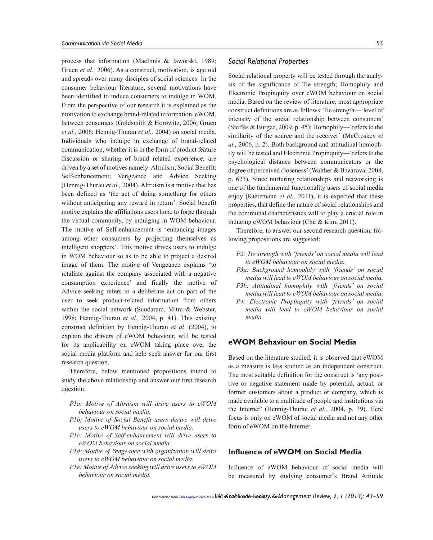process that information (MacInnis & Jaworski, 1989; Gruen *et al.,* 2006). As a construct, motivation, is age old and spreads over many disciples of social sciences. In the consumer behaviour literature, several motivations have been identified to induce consumers to indulge in WOM. From the perspective of our research it is explained as the motivation to exchange brand-related information, eWOM, between consumers (Goldsmith & Horowitz, 2006; Gruen *et al.,* 2006; Hennig-Thurau *et al.,* 2004) on social media. Individuals who indulge in exchange of brand-related communication, whether it is in the form of product feature discussion or sharing of brand related experience, are driven by a set of motives namely: Altruism; Social Benefit; Self-enhancement; Vengeance and Advice Seeking (Hennig-Thurau *et al.,* 2004). Altruism is a motive that has been defined as 'the act of doing something for others without anticipating any reward in return'. Social benefit motive explains the affiliations users hope to forge through the virtual community, by indulging in WOM behaviour. The motive of Self-enhancement is 'enhancing images among other consumers by projecting themselves as intelligent shoppers'. This motive drives users to indulge in WOM behaviour so as to be able to project a desired image of them. The motive of Vengeance explains 'to retaliate against the company associated with a negative consumption experience' and finally the motive of Advice seeking refers to a deliberate act on part of the user to seek product-related information from others within the social network (Sundaram, Mitra & Webster, 1998; Hennig-Thurau *et al.,* 2004, p. 41). This existing construct definition by Hennig-Thurau *et al*. (2004), to explain the drivers of eWOM behaviour, will be tested for its applicability on eWOM taking place over the social media platform and help seek answer for our first research question.

Therefore, below mentioned propositions intend to study the above relationship and answer our first research question:

- *P1a: Motive of Altruism will drive users to eWOM behaviour on social media.*
- *P1b: Motive of Social Benefit users derive will drive users to eWOM behaviour on social media.*
- *P1c: Motive of Self-enhancement will drive users to eWOM behaviour on social media.*
- *P1d: Motive of Vengeance with organization will drive users to eWOM behaviour on social media.*
- *P1e: Motive of Advice seeking will drive users to eWOM behaviour on social media.*

## *Social Relational Properties*

Social relational property will be tested through the analysis of the significance of Tie strength; Homophily and Electronic Propinquity over eWOM behaviour on social media. Based on the review of literature, most appropriate construct definitions are as follows: Tie strength—'level of intensity of the social relationship between consumers' (Steffes & Burgee, 2009, p. 45); Homophily—'refers to the similarity of the source and the receiver' (McCroskey *et al.,* 2006, p. 2). Both background and attitudinal homophily will be tested and Electronic Propinquity—'refers to the psychological distance between communicators or the degree of perceived closeness' (Walther & Bazarova, 2008, p. 623). Since nurturing relationships and networking is one of the fundamental functionality users of social media enjoy (Kietzmann *et al.,* 2011), it is expected that these properties, that define the nature of social relationships and the communal characteristics will to play a crucial role in inducing eWOM behaviour (Chu & Kim, 2011).

Therefore, to answer our second research question, following propositions are suggested:

- *P2: Tie strength with 'friends' on social media will lead to eWOM behaviour on social media.*
- *P3a: Background homophily with 'friends' on social media will lead to eWOM behaviour on social media. P3b: Attitudinal homophily with 'friends' on social*
- *media will lead to eWOM behaviour on social media. P4: Electronic Propinquity with 'friends' on social*
- *media will lead to eWOM behaviour on social media.*

# **eWOM Behaviour on Social Media**

Based on the literature studied, it is observed that eWOM as a measure is less studied as an independent construct. The most suitable definition for the construct is 'any positive or negative statement made by potential, actual, or former customers about a product or company, which is made available to a multitude of people and institutions via the Internet' (Hennig-Thurau *et al.,* 2004, p. 39). Here focus is only on eWOM of social media and not any other form of eWOM on the Internet.

# **Influence of eWOM on Social Media**

Influence of eWOM behaviour of social media will be measured by studying consumer's Brand Attitude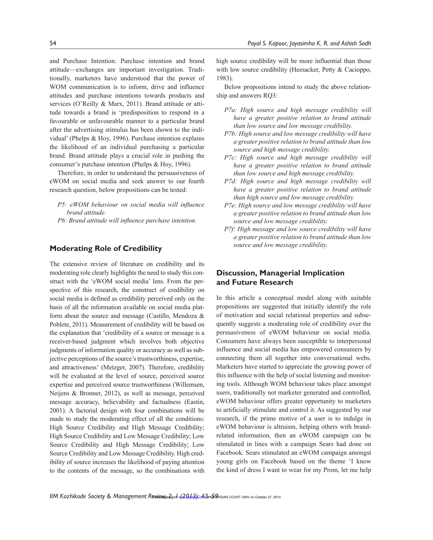and Purchase Intention. Purchase intention and brand attitude—exchanges are important investigation. Traditionally, marketers have understood that the power of WOM communication is to inform, drive and influence attitudes and purchase intentions towards products and services (O'Reilly & Marx, 2011). Brand attitude or attitude towards a brand is 'predisposition to respond in a favourable or unfavourable manner to a particular brand after the advertising stimulus has been shown to the individual' (Phelps & Hoy, 1996). Purchase intention explains the likelihood of an individual purchasing a particular brand. Brand attitude plays a crucial role in pushing the consumer's purchase intention (Phelps & Hoy, 1996).

Therefore, in order to understand the persuasiveness of eWOM on social media and seek answer to our fourth research question, below propositions can be tested:

*P5: eWOM behaviour on social media will influence brand attitude. P6: Brand attitude will influence purchase intention.*

# **Moderating Role of Credibility**

The extensive review of literature on credibility and its moderating role clearly highlights the need to study this construct with the 'eWOM social media' lens. From the perspective of this research, the construct of credibility on social media is defined as credibility perceived only on the basis of all the information available on social media platform about the source and message (Castillo, Mendoza & Poblete, 2011). Measurement of credibility will be based on the explanation that 'credibility of a source or message is a receiver-based judgment which involves both objective judgments of information quality or accuracy as well as subjective perceptions of the source's trustworthiness, expertise, and attractiveness' (Metzger, 2007). Therefore, credibility will be evaluated at the level of source, perceived source expertise and perceived source trustworthiness (Willemsen, Neijens & Bronner, 2012), as well as message, perceived message accuracy, believability and factualness (Eastin, 2001). A factorial design with four combinations will be made to study the moderating effect of all the conditions: High Source Credibility and High Message Credibility; High Source Credibility and Low Message Credibility; Low Source Credibility and High Message Credibility; Low Source Credibility and Low Message Credibility. High credibility of source increases the likelihood of paying attention to the contents of the message, so the combinations with

high source credibility will be more influential than those with low source credibility (Heesacker, Petty & Cacioppo, 1983).

Below propositions intend to study the above relationship and answers RQ3:

- *P7a: High source and high message credibility will have a greater positive relation to brand attitude than low source and low message credibility.*
- *P7b: High source and low message credibility will have a greater positive relation to brand attitude than low source and high message credibility.*
- *P7c: High source and high message credibility will have a greater positive relation to brand attitude than low source and high message credibility.*
- *P7d: High source and high message credibility will have a greater positive relation to brand attitude than high source and low message credibility.*
- *P7e: High source and low message credibility will have a greater positive relation to brand attitude than low source and low message credibility.*
- *P7f: High message and low source credibility will have a greater positive relation to brand attitude than low source and low message credibility.*

# **Discussion, Managerial Implication and Future Research**

In this article a conceptual model along with suitable propositions are suggested that initially identify the role of motivation and social relational properties and subsequently suggests a moderating role of credibility over the persuasiveness of eWOM behaviour on social media. Consumers have always been susceptible to interpersonal influence and social media has empowered consumers by connecting them all together into conversational webs. Marketers have started to appreciate the growing power of this influence with the help of social listening and monitoring tools. Although WOM behaviour takes place amongst users, traditionally not marketer generated and controlled, eWOM behaviour offers greater opportunity to marketers to artificially stimulate and control it. As suggested by our research, if the prime motive of a user is to indulge in eWOM behaviour is altruism, helping others with brandrelated information, then an eWOM campaign can be stimulated in lines with a campaign Sears had done on Facebook. Sears stimulated an eWOM campaign amongst young girls on Facebook based on the theme 'I know the kind of dress I want to wear for my Prom, let me help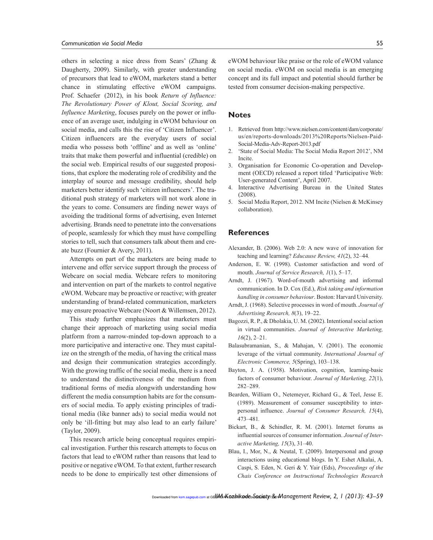others in selecting a nice dress from Sears' (Zhang & Daugherty, 2009). Similarly, with greater understanding of precursors that lead to eWOM, marketers stand a better chance in stimulating effective eWOM campaigns. Prof. Schaefer (2012), in his book *Return of Influence: The Revolutionary Power of Klout, Social Scoring, and Influence Marketing*, focuses purely on the power or influence of an average user, indulging in eWOM behaviour on social media, and calls this the rise of 'Citizen Influencer'. Citizen influencers are the everyday users of social media who possess both 'offline' and as well as 'online' traits that make them powerful and influential (credible) on the social web. Empirical results of our suggested propositions, that explore the moderating role of credibility and the interplay of source and message credibility, should help marketers better identify such 'citizen influencers'. The traditional push strategy of marketers will not work alone in the years to come. Consumers are finding newer ways of avoiding the traditional forms of advertising, even Internet advertising. Brands need to penetrate into the conversations of people, seamlessly for which they must have compelling stories to tell, such that consumers talk about them and create buzz (Fournier & Avery, 2011).

Attempts on part of the marketers are being made to intervene and offer service support through the process of Webcare on social media. Webcare refers to monitoring and intervention on part of the markets to control negative eWOM. Webcare may be proactive or reactive; with greater understanding of brand-related communication, marketers may ensure proactive Webcare (Noort & Willemsen, 2012).

This study further emphasizes that marketers must change their approach of marketing using social media platform from a narrow-minded top-down approach to a more participative and interactive one. They must capitalize on the strength of the media, of having the critical mass and design their communication strategies accordingly. With the growing traffic of the social media, there is a need to understand the distinctiveness of the medium from traditional forms of media alongwith understanding how different the media consumption habits are for the consumers of social media. To apply existing principles of traditional media (like banner ads) to social media would not only be 'ill-fitting but may also lead to an early failure' (Taylor, 2009).

This research article being conceptual requires empirical investigation. Further this research attempts to focus on factors that lead to eWOM rather than reasons that lead to positive or negative eWOM. To that extent, further research needs to be done to empirically test other dimensions of eWOM behaviour like praise or the role of eWOM valance on social media. eWOM on social media is an emerging concept and its full impact and potential should further be tested from consumer decision-making perspective.

## **Notes**

- 1. Retrieved from http://www.nielsen.com/content/dam/corporate/ us/en/reports-downloads/2013%20Reports/Nielsen-Paid-Social-Media-Adv-Report-2013.pdf
- 2. 'State of Social Media: The Social Media Report 2012', NM Incite.
- 3. Organisation for Economic Co-operation and Development (OECD) released a report titled 'Participative Web: User-generated Content', April 2007.
- 4. Interactive Advertising Bureau in the United States (2008).
- 5. Social Media Report, 2012. NM Incite (Nielsen & McKinsey collaboration).

# **References**

- Alexander, B. (2006). Web 2.0: A new wave of innovation for teaching and learning? *Educause Review, 41*(2), 32–44*.*
- Anderson, E. W. (1998). Customer satisfaction and word of mouth. *Journal of Service Research, 1*(1), 5–17.
- Arndt, J. (1967). Word-of-mouth advertising and informal communication. In D. Cox (Ed.), *Risk taking and information handling in consumer behaviour*. Boston: Harvard University.
- Arndt, J. (1968). Selective processes in word of mouth. *Journal of Advertising Research, 8*(3), 19–22.
- Bagozzi, R. P., & Dholakia, U. M. (2002). Intentional social action in virtual communities. *Journal of Interactive Marketing, 16*(2), 2–21.
- Balasubramanian, S., & Mahajan, V. (2001). The economic leverage of the virtual community. *International Journal of Electronic Commerce, 5*(Spring), 103–138.
- Bayton, J. A. (1958). Motivation, cognition, learning-basic factors of consumer behaviour. *Journal of Marketing, 22*(1), 282–289.
- Bearden, William O., Netemeyer, Richard G., & Teel, Jesse E. (1989). Measurement of consumer susceptibility to interpersonal influence. *Journal of Consumer Research, 15*(4), 473–481*.*
- Bickart, B., & Schindler, R. M. (2001). Internet forums as influential sources of consumer information. *Journal of Interactive Marketing, 15*(3), 31–40.
- Blau, I., Mor, N., & Neutal, T. (2009). Interpersonal and group interactions using educational blogs. In Y. Eshet Alkalai, A. Caspi, S. Eden, N. Geri & Y. Yair (Eds), *Proceedings of the Chais Conference on Instructional Technologies Research*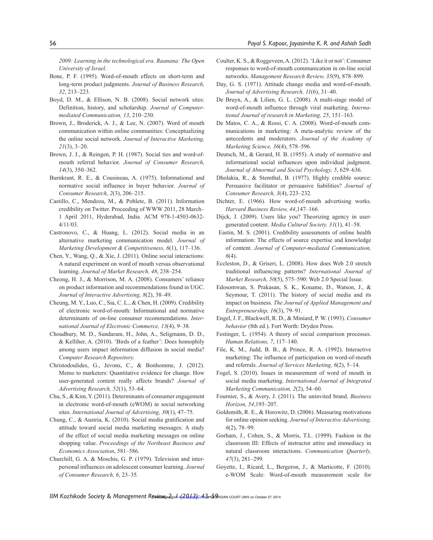*2009: Learning in the technological era. Raanana: The Open University of Israel*.

- Bone, P. F. (1995). Word-of-mouth effects on short-term and long-term product judgments. *Journal of Business Research, 32*, 213–223.
- Boyd, D. M., & Ellison, N. B. (2008). Social network sites: Definition, history, and scholarship. *Journal of Computermediated Communication, 13*, 210–230*.*
- Brown, J., Broderick, A. J., & Lee, N. (2007). Word of mouth communication within online communities: Conceptualizing the online social network. *Journal of Interactive Marketing, 21*(3), 3–20.
- Brown, J. J., & Reingen, P. H. (1987). Social ties and word-ofmouth referral behavior. *Journal of Consumer Research, 14*(3), 350–362.
- Burnkrant, R. E., & Cousineau, A. (1975). Informational and normative social influence in buyer behavior. *Journal of Consumer Research, 2*(3), 206–215.
- Castillo, C., Mendoza, M., & Poblete, B. (2011). Information credibility on Twitter. Proceeding of WWW 2011, 28 March– 1 April 2011, Hyderabad, India. ACM 978-1-4503-0632- 4/11/03.
- Castronovo, C., & Huang, L. (2012). Social media in an alternative marketing communication model. *Journal of Marketing Development & Competitiveness, 6*(1), 117–136.
- Chen, Y., Wang, Q., & Xie, J. (2011). Online social interactions: A natural experiment on word of mouth versus observational learning. *Journal of Market Research, 48*, 238–254.
- Cheong, H. J., & Morrison, M. A. (2008). Consumers' reliance on product information and recommendations found in UGC. *Journal of Interactive Advertising, 8*(2), 38–49.
- Cheung, M. Y., Luo, C., Sia, C. L., & Chen, H. (2009). Credibility of electronic word-of-mouth: Informational and normative determinants of on-line consumer recommendations. *International Journal of Electronic Commerce, 13*(4), 9–38*.*
- Choudhury, M. D., Sundaram, H., John, A., Seligmann, D. D., & Kelliher, A. (2010). 'Birds of a feather': Does homophily among users impact information diffusion in social media? *Computer Research Repository.*
- Christodoulides, G., Jevons, C., & Bonhomme, J. (2012). Memo to marketers: Quantitative evidence for change. How user-generated content really affects brands? *Journal of Advertising Research, 52*(1), 53–64.
- Chu, S., & Kim, Y. (2011). Determinants of consumer engagement in electronic word-of-mouth (eWOM) in social networking sites. *International Journal of Advertising, 30*(1), 47–75.
- Chung, C., & Austria, K. (2010). Social media gratification and attitude toward social media marketing messages: A study of the effect of social media marketing messages on online shopping value. *Proceedings of the Northeast Business and Economics Association*, 581–586.
- Churchill, G. A. & Moschis, G. P. (1979). Television and interpersonal influences on adolescent consumer learning. *Journal of Consumer Research, 6*, 23–35*.*
- Coulter, K. S., & Roggeveen, A. (2012). 'Like it or not': Consumer responses to word-of-mouth communication in on-line social networks. *Management Research Review, 35*(9), 878–899.
- Day, G. S. (1971). Attitude change media and word-of-mouth. *Journal of Advertising Research, 11*(6), 31–40.
- De Bruyn, A., & Lilien, G. L. (2008). A multi-stage model of word-of-mouth influence through viral marketing. *International Journal of research in Marketing, 25*, 151–163*.*
- De Matos, C. A., & Rossi, C. A. (2008). Word-of-mouth communications in marketing: A meta-analytic review of the antecedents and moderators. *Journal of the Academy of Marketing Science, 36*(4), 578–596*.*
- Deutsch, M., & Gerard, H. B. (1955). A study of normative and informational social influences upon individual judgment. *Journal of Abnormal and Social Psychology, 5*, 629–636.
- Dholakia, R., & Stemthal, B. (1977). Highly credible source: Persuasive facilitator or persuasive liabilities? *Journal of Consumer Research, 3*(4), 223–232*.*
- Dichter, E. (1966). How word-of-mouth advertising works. *Harvard Business Review, 44*,147–166*.*
- Dijck, J. (2009). Users like you? Theorizing agency in usergenerated content. *Media Cultural Society, 31*(1), 41–58.
- Eastin, M. S. (2001). Credibility assessments of online health information: The effects of source expertise and knowledge of content. *Journal of Computer-mediated Communication, 6*(4).
- Eccleston, D., & Griseri, L. (2008). How does Web 2.0 stretch traditional influencing patterns? *International Journal of Market Research, 50*(5), 575–590: Web 2.0 Special Issue.
- Edosomwan, S. Prakasan, S. K., Kouame, D., Watson, J., & Seymour, T. (2011). The history of social media and its impact on business. *The Journal of Applied Management and Entrepreneurship, 16*(3), 79–91.
- Engel, J. F., Blackwell, R. D., & Miniard, P. W. (1993). *Consumer behavior* (8th ed.). Fort Worth: Dryden Press.
- Festinger, L. (1954). A theory of social comparison processes. *Human Relations, 7*, 117–140.
- File, K. M., Judd, B. B., & Prince, R. A. (1992). Interactive marketing: The influence of participation on word-of-mouth and referrals. *Journal of Services Marketing, 6*(2), 5–14.
- Fogel, S. (2010). Issues in measurement of word of mouth in social media marketing. *International Journal of Integrated Marketing Communication, 2*(2), 54–60.
- Fournier, S., & Avery, J. (2011). The uninvited brand. *Business Horizon, 54*,193–207.
- Goldsmith, R. E., & Horowitz, D. (2006). Measuring motivations for online opinion seeking. *Journal of Interactive Advertising, 6*(2), 78–99.
- Gorham, J., Cohen, S., & Morris, T.L. (1999). Fashion in the classroom III: Effects of instructor attire and immediacy in natural classroom interactions. *Communication Quarterly, 47*(3), 281–299*.*
- Goyette, I., Ricard, L., Bergeron, J., & Marticotte, F. (2010). e-WOM Scale: Word-of-mouth measurement scale for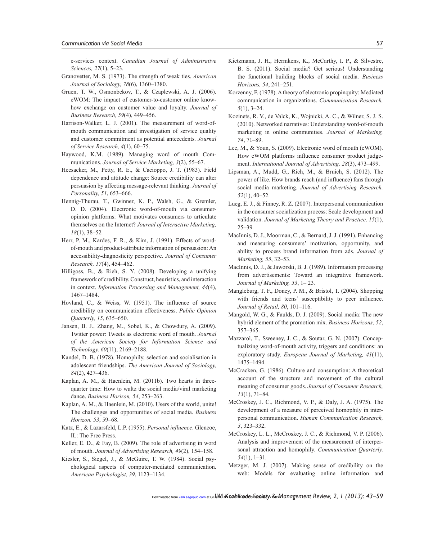e-services context. *Canadian Journal of Administrative Sciences, 27*(1), 5–23*.* 

- Granovetter, M. S. (1973). The strength of weak ties. *American Journal of Sociology, 78*(6), 1360–1380.
- Gruen, T. W., Osmonbekov, T., & Czaplewski, A. J. (2006). eWOM: The impact of customer-to-customer online knowhow exchange on customer value and loyalty. *Journal of Business Research, 59*(4), 449–456.
- Harrison-Walker, L. J. (2001). The measurement of word-ofmouth communication and investigation of service quality and customer commitment as potential antecedents. *Journal of Service Research, 4*(1), 60–75.
- Haywood, K.M. (1989). Managing word of mouth Communications. *Journal of Service Marketing, 3*(2), 55–67.
- Heesacker, M., Petty, R. E., & Cacioppo, J. T. (1983). Field dependence and attitude change: Source credibility can alter persuasion by affecting message-relevant thinking. *Journal of Personality, 51*, 653–666.
- Hennig-Thurau, T., Gwinner, K. P., Walsh, G., & Gremler, D. D. (2004). Electronic word-of-mouth via consumeropinion platforms: What motivates consumers to articulate themselves on the Internet? *Journal of Interactive Marketing, 18*(1), 38–52*.*
- Herr, P. M., Kardes, F. R., & Kim, J. (1991). Effects of wordof-mouth and product-attribute information of persuasion: An accessibility-diagnosticity perspective. *Journal of Consumer Research, 17*(4), 454–462.
- Hilligoss, B., & Rieh, S. Y. (2008). Developing a unifying framework of credibility. Construct, heuristics, and interaction in context. *Information Processing and Management, 44*(4), 1467–1484.
- Hovland, C., & Weiss, W. (1951). The influence of source credibility on communication effectiveness. *Public Opinion Quarterly, 15*, 635–650.
- Jansen, B. J., Zhang, M., Sobel, K., & Chowdury, A. (2009). Twitter power: Tweets as electronic word of mouth. *Journal of the American Society for Information Science and Technology, 60*(11), 2169–2188.
- Kandel, D. B. (1978). Homophily, selection and socialisation in adolescent friendships. *The American Journal of Sociology, 84*(2), 427–436.
- Kaplan, A. M., & Haenlein, M. (2011b). Two hearts in threequarter time: How to waltz the social media/viral marketing dance. *Business Horizon, 54*, 253–263.
- Kaplan, A. M., & Haenlein, M. (2010). Users of the world, unite! The challenges and opportunities of social media. *Business Horizon, 53*, 59–68.
- Katz, E., & Lazarsfeld, L.P. (1955). *Personal influence*. Glencoe, IL: The Free Press.
- Keller, E. D., & Fay, B. (2009). The role of advertising in word of mouth. *Journal of Advertising Research, 49*(2), 154–158.
- Kiesler, S., Siegel, J., & McGuire, T. W. (1984). Social psychological aspects of computer-mediated communication. *American Psychologist, 39*, 1123–1134.
- Kietzmann, J. H., Hermkens, K., McCarthy, I. P., & Silvestre, B. S. (2011). Social media? Get serious! Understanding the functional building blocks of social media. *Business Horizons, 54*, 241–251.
- Korzenny, F. (1978). A theory of electronic propinquity: Mediated communication in organizations. *Communication Research, 5*(1), 3–24.
- Kozinets, R. V., de Valck, K., Wojnicki, A. C., & Wilner, S. J. S. (2010). Networked narratives: Understanding word-of-mouth marketing in online communities. *Journal of Marketing, 74*, 71–89.
- Lee, M., & Youn, S. (2009). Electronic word of mouth (eWOM). How eWOM platforms influence consumer product judgement. *International Journal of Advertising, 28*(3), 473–499.
- Lipsman, A., Mudd, G., Rich, M., & Bruich, S. (2012). The power of like. How brands reach (and influence) fans through social media marketing. *Journal of Advertising Research, 52*(1), 40–52.
- Lueg, E. J., & Finney, R. Z. (2007). Interpersonal communication in the consumer socialization process: Scale development and validation. *Journal of Marketing Theory and Practice, 15*(1), 25–39*.*
- MacInnis, D. J., Moorman, C., & Bernard, J. J. (1991). Enhancing and measuring consumers' motivation, opportunity, and ability to process brand information from ads. *Journal of Marketing, 55*, 32–53.
- MacInnis, D. J., & Jaworski, B. J. (1989). Information processing from advertisements: Toward an integrative framework. *Journal of Marketing, 53*, 1– 23*.*
- Mangleburg, T. F., Doney, P. M., & Bristol, T. (2004). Shopping with friends and teens' susceptibility to peer influence. *Journal of Retail, 80*, 101–116.
- Mangold, W. G., & Faulds, D. J. (2009). Social media: The new hybrid element of the promotion mix. *Business Horizons, 52*, 357–365.
- Mazzarol, T., Sweeney, J. C., & Soutar, G. N. (2007). Conceptualizing word-of-mouth activity, triggers and conditions: an exploratory study. *European Journal of Marketing, 41*(11), 1475–1494.
- McCracken, G. (1986). Culture and consumption: A theoretical account of the structure and movement of the cultural meaning of consumer goods. *Journal of Consumer Research, 13*(1), 71–84*.*
- McCroskey, J. C., Richmond, V. P., & Daly, J. A. (1975). The development of a measure of perceived homophily in interpersonal communication. *Human Communication Research, 3*, 323–332.
- McCroskey, L. L., McCroskey, J. C., & Richmond, V. P. (2006). Analysis and improvement of the measurement of interpersonal attraction and homophily. *Communication Quarterly, 54*(1), 1–31*.*
- Metzger, M. J. (2007). Making sense of credibility on the web: Models for evaluating online information and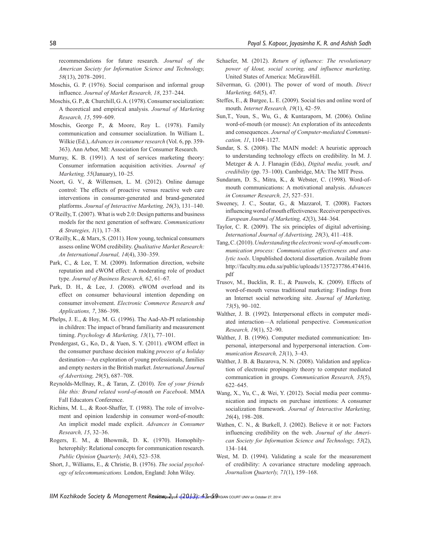recommendations for future research. *Journal of the American Society for Information Science and Technology, 58*(13), 2078–2091.

- Moschis, G. P. (1976). Social comparison and informal group influence. *Journal of Market Research, 18*, 237–244.
- Moschis, G. P., & Churchill, G. A. (1978). Consumer socialization: A theoretical and empirical analysis. *Journal of Marketing Research, 15*, 599–609.
- Moschis, George P., & Moore, Roy L. (1978). Family communication and consumer socialization. In William L. Wilkie (Ed.), *Advances in consumer research* (Vol. 6, pp. 359- 363). Ann Arbor, MI: Association for Consumer Research.
- Murray, K. B. (1991). A test of services marketing theory: Consumer information acquisition activities. *Journal of Marketing, 55*(January), 10–25*.*
- Noort, G. V., & Willemsen, L. M. (2012). Online damage control: The effects of proactive versus reactive web care interventions in consumer-generated and brand-generated platforms. *Journal of Interactive Marketing, 26*(3), 131–140.
- O'Reilly, T. (2007). What is web 2.0: Design patterns and business models for the next generation of software. *Communications & Strategies, 1*(1), 17–38*.*
- O'Reilly, K., & Marx, S. (2011). How young, technical consumers assess online WOM credibility. *Qualitative Market Research: An International Journal, 14*(4), 330–359.
- Park, C., & Lee, T. M. (2009). Information direction, website reputation and eWOM effect: A moderating role of product type. *Journal of Business Research, 62*, 61–67*.*
- Park, D. H., & Lee, J. (2008). eWOM overload and its effect on consumer behavioural intention depending on consumer involvement. *Electronic Commerce Research and Applications, 7*, 386–398.
- Phelps, J. E., & Hoy, M. G. (1996). The Aad-Ab-PI relationship in children: The impact of brand familiarity and measurement timing. *Psychology & Marketing, 13*(1), 77–101.
- Prendergast, G., Ko, D., & Yuen, S. Y. (2011). eWOM effect in the consumer purchase decision making *process of a holiday*  destination—An exploration of young professionals, families and empty nesters in the British market. *International Journal of Advertising, 29*(5), 687–708.
- Reynolds-McIlnay, R., & Taran, Z. (2010). *Ten of your friends like this: Brand related word-of-mouth on Facebook*. MMA Fall Educators Conference.
- Richins, M. L., & Root-Shaffer, T. (1988). The role of involvement and opinion leadership in consumer word-of-mouth: An implicit model made explicit. *Advances in Consumer Research, 15*, 32–36.
- Rogers, E. M., & Bhowmik, D. K. (1970). Homophilyheterophily: Relational concepts for communication research. *Public Opinion Quarterly, 34*(4), 523–538*.*
- Short, J., Williams, E., & Christie, B. (1976). *The social psychology of telecommunications.* London, England: John Wiley.
- Schaefer, M. (2012). *Return of influence: The revolutionary power of klout, social scoring, and influence marketing*. United States of America: McGrawHill.
- Silverman, G. (2001). The power of word of mouth. *Direct Marketing, 64*(5), 47*.*
- Steffes, E., & Burgee, L. E. (2009). Social ties and online word of mouth. *Internet Research, 19*(1), 42–59.
- Sun,T., Youn, S., Wu, G., & Kuntaraporn, M. (2006). Online word-of-mouth (or mouse): An exploration of its antecedents and consequences. *Journal of Computer-mediated Communication, 11*, 1104–1127.
- Sundar, S. S. (2008). The MAIN model: A heuristic approach to understanding technology effects on credibility. In M. J. Metzger & A. J. Flanagin (Eds), *Digital media, youth, and credibility* (pp. 73–100). Cambridge, MA: The MIT Press.
- Sundaram, D. S., Mitra, K., & Webster, C. (1998). Word-ofmouth communications: A motivational analysis. *Advances in Consumer Research, 25*, 527–531.
- Sweeney, J. C., Soutar, G., & Mazzarol, T. (2008). Factors influencing word of mouth effectiveness: Receiver perspectives. *European Journal of Marketing, 42*(3), 344–364.
- Taylor, C. R. (2009). The six principles of digital advertising. *International Journal of Advertising, 28*(3), 411–418.
- Tang, C. (2010). *Understanding the electronic word-of-mouth communication process: Communication effectiveness and analytic tools*. Unpublished doctoral dissertation. Available from http://faculty.mu.edu.sa/public/uploads/1357237786.474416. pdf
- Trusov, M., Bucklin, R. E., & Pauwels, K. (2009). Effects of word-of-mouth versus traditional marketing: Findings from an Internet social networking site. *Journal of Marketing, 73*(5), 90–102.
- Walther, J. B. (1992). Interpersonal effects in computer mediated interaction—A relational perspective. *Communication Research, 19*(1), 52–90.
- Walther, J. B. (1996). Computer mediated communication: Impersonal, interpersonal and hyperpersonal interaction. *Communication Research, 23*(1), 3–43.
- Walther, J. B. & Bazarova, N. N. (2008). Validation and application of electronic propinquity theory to computer mediated communication in groups. *Communication Research, 35*(5), 622–645.
- Wang, X., Yu, C., & Wei, Y. (2012). Social media peer communication and impacts on purchase intentions: A consumer socialization framework. *Journal of Interactive Marketing, 26*(4), 198–208.
- Wathen, C. N., & Burkell, J. (2002). Believe it or not: Factors influencing credibility on the web. *Journal of the American Society for Information Science and Technology, 53*(2), 134–144*.*
- West, M. D. (1994). Validating a scale for the measurement of credibility: A covariance structure modeling approach. *Journalism Quarterly, 71*(1), 159–168.